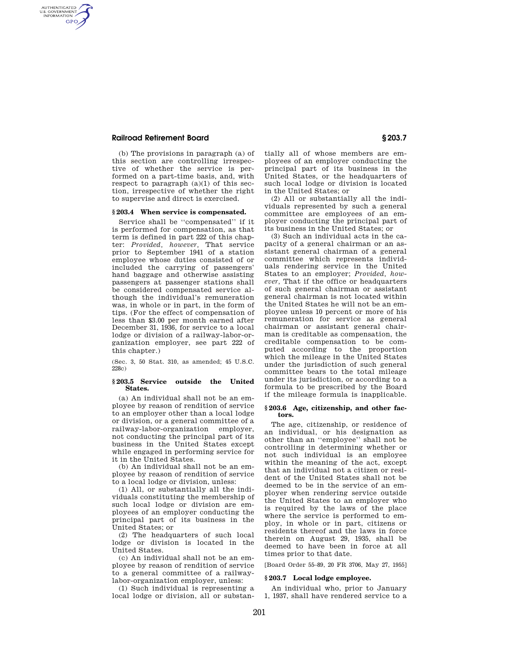## **Railroad Retirement Board § 203.7**

AUTHENTICATED<br>U.S. GOVERNMENT<br>INFORMATION **GPO** 

> (b) The provisions in paragraph (a) of this section are controlling irrespective of whether the service is performed on a part-time basis, and, with respect to paragraph  $(a)(1)$  of this section, irrespective of whether the right to supervise and direct is exercised.

# **§ 203.4 When service is compensated.**

Service shall be ''compensated'' if it is performed for compensation, as that term is defined in part 222 of this chapter: *Provided, however,* That service prior to September 1941 of a station employee whose duties consisted of or included the carrying of passengers' hand baggage and otherwise assisting passengers at passenger stations shall be considered compensated service although the individual's remuneration was, in whole or in part, in the form of tips. (For the effect of compensation of less than \$3.00 per month earned after December 31, 1936, for service to a local lodge or division of a railway-labor-organization employer, see part 222 of this chapter.)

(Sec. 3, 50 Stat. 310, as amended; 45 U.S.C. 228c)

### **§ 203.5 Service outside the United States.**

(a) An individual shall not be an employee by reason of rendition of service to an employer other than a local lodge or division, or a general committee of a railway-labor-organization employer, not conducting the principal part of its business in the United States except while engaged in performing service for it in the United States.

(b) An individual shall not be an employee by reason of rendition of service to a local lodge or division, unless:

(1) All, or substantially all the individuals constituting the membership of such local lodge or division are employees of an employer conducting the principal part of its business in the United States; or

(2) The headquarters of such local lodge or division is located in the United States.

(c) An individual shall not be an employee by reason of rendition of service to a general committee of a railwaylabor-organization employer, unless:

(1) Such individual is representing a local lodge or division, all or substantially all of whose members are employees of an employer conducting the principal part of its business in the United States, or the headquarters of such local lodge or division is located in the United States; or

(2) All or substantially all the individuals represented by such a general committee are employees of an employer conducting the principal part of its business in the United States; or

(3) Such an individual acts in the capacity of a general chairman or an assistant general chairman of a general committee which represents individuals rendering service in the United States to an employer; *Provided, however,* That if the office or headquarters of such general chairman or assistant general chairman is not located within the United States he will not be an employee unless 10 percent or more of his remuneration for service as general chairman or assistant general chairman is creditable as compensation, the creditable compensation to be computed according to the proportion which the mileage in the United States under the jurisdiction of such general committee bears to the total mileage under its jurisdiction, or according to a formula to be prescribed by the Board if the mileage formula is inapplicable.

## **§ 203.6 Age, citizenship, and other factors.**

The age, citizenship, or residence of an individual, or his designation as other than an ''employee'' shall not be controlling in determining whether or not such individual is an employee within the meaning of the act, except that an individual not a citizen or resident of the United States shall not be deemed to be in the service of an employer when rendering service outside the United States to an employer who is required by the laws of the place where the service is performed to employ, in whole or in part, citizens or residents thereof and the laws in force therein on August 29, 1935, shall be deemed to have been in force at all times prior to that date.

[Board Order 55–89, 20 FR 3706, May 27, 1955]

### **§ 203.7 Local lodge employee.**

An individual who, prior to January 1, 1937, shall have rendered service to a